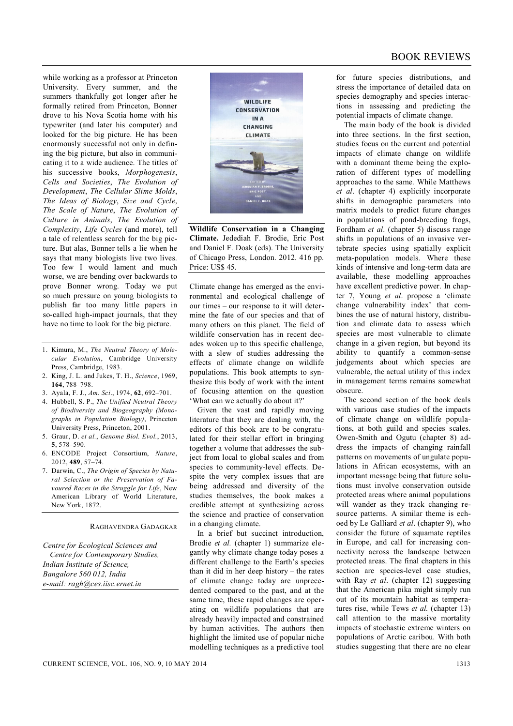while working as a professor at Princeton University. Every summer, and the summers thankfully got longer after he formally retired from Princeton, Bonner drove to his Nova Scotia home with his typewriter (and later his computer) and looked for the big picture. He has been enormously successful not only in defining the big picture, but also in communicating it to a wide audience. The titles of his successive books, *Morphogenesis*, *Cells and Societies*, *The Evolution of Development*, *The Cellular Slime Molds*, *The Ideas of Biology*, *Size and Cycle*, *The Scale of Nature*, *The Evolution of Culture in Animals*, *The Evolution of Complexity*, *Life Cycles* (and more), tell a tale of relentless search for the big picture. But alas, Bonner tells a lie when he says that many biologists live two lives. Too few I would lament and much worse, we are bending over backwards to prove Bonner wrong. Today we put so much pressure on young biologists to publish far too many little papers in so-called high-impact journals, that they have no time to look for the big picture.

- 1. Kimura, M., *The Neutral Theory of Molecular Evolution*, Cambridge University Press, Cambridge, 1983.
- 2. King, J. L. and Jukes, T. H., *Science*, 1969, **164**, 788–798.
- 3. Ayala, F. J., *Am. Sci*., 1974, **62**, 692–701.
- 4. Hubbell, S. P., *The Unified Neutral Theory of Biodiversity and Biogeography (Monographs in Population Biology)*, Princeton University Press, Princeton, 2001.
- 5. Graur, D. *et al.*, *Genome Biol. Evol.*, 2013, **5**, 578–590.
- 6. ENCODE Project Consortium, *Nature*, 2012, **489**, 57–74.
- 7. Darwin, C., *The Origin of Species by Natural Selection or the Preservation of Favoured Races in the Struggle for Life*, New American Library of World Literature, New York, 1872.

## RAGHAVENDRA GADAGKAR

*Centre for Ecological Sciences and Centre for Contemporary Studies, Indian Institute of Science, Bangalore 560 012, India e-mail: ragh@ces.iisc.ernet.in*



**Wildlife Conservation in a Changing Climate.** Jedediah F. Brodie, Eric Post and Daniel F. Doak (eds). The University of Chicago Press, London. 2012. 416 pp. Price: US\$ 45.

Climate change has emerged as the environmental and ecological challenge of our times – our response to it will determine the fate of our species and that of many others on this planet. The field of wildlife conservation has in recent decades woken up to this specific challenge, with a slew of studies addressing the effects of climate change on wildlife populations. This book attempts to synthesize this body of work with the intent of focusing attention on the question 'What can we actually do about it?'

Given the vast and rapidly moving literature that they are dealing with, the editors of this book are to be congratulated for their stellar effort in bringing together a volume that addresses the subject from local to global scales and from species to community-level effects. Despite the very complex issues that are being addressed and diversity of the studies themselves, the book makes a credible attempt at synthesizing across the science and practice of conservation in a changing climate.

In a brief but succinct introduction, Brodie *et al.* (chapter 1) summarize elegantly why climate change today poses a different challenge to the Earth's species than it did in her deep history – the rates of climate change today are unprecedented compared to the past, and at the same time, these rapid changes are operating on wildlife populations that are already heavily impacted and constrained by human activities. The authors then highlight the limited use of popular niche modelling techniques as a predictive tool

for future species distributions, and stress the importance of detailed data on species demography and species interactions in assessing and predicting the potential impacts of climate change.

The main body of the book is divided into three sections. In the first section, studies focus on the current and potential impacts of climate change on wildlife with a dominant theme being the exploration of different types of modelling approaches to the same. While Matthews *et al*. (chapter 4) explicitly incorporate shifts in demographic parameters into matrix models to predict future changes in populations of pond-breeding frogs, Fordham *et al*. (chapter 5) discuss range shifts in populations of an invasive vertebrate species using spatially explicit meta-population models. Where these kinds of intensive and long-term data are available, these modelling approaches have excellent predictive power. In chapter 7, Young *et al*. propose a 'climate change vulnerability index' that combines the use of natural history, distribution and climate data to assess which species are most vulnerable to climate change in a given region, but beyond its ability to quantify a common-sense judgements about which species are vulnerable, the actual utility of this index in management terms remains somewhat obscure.

The second section of the book deals with various case studies of the impacts of climate change on wildlife populations, at both guild and species scales. Owen-Smith and Ogutu (chapter 8) address the impacts of changing rainfall patterns on movements of ungulate populations in African ecosystems, with an important message being that future solutions must involve conservation outside protected areas where animal populations will wander as they track changing resource patterns. A similar theme is echoed by Le Galliard *et al*. (chapter 9), who consider the future of squamate reptiles in Europe, and call for increasing connectivity across the landscape between protected areas. The final chapters in this section are species-level case studies, with Ray *et al*. (chapter 12) suggesting that the American pika might simply run out of its mountain habitat as temperatures rise, while Tews *et al.* (chapter 13) call attention to the massive mortality impacts of stochastic extreme winters on populations of Arctic caribou. With both studies suggesting that there are no clear